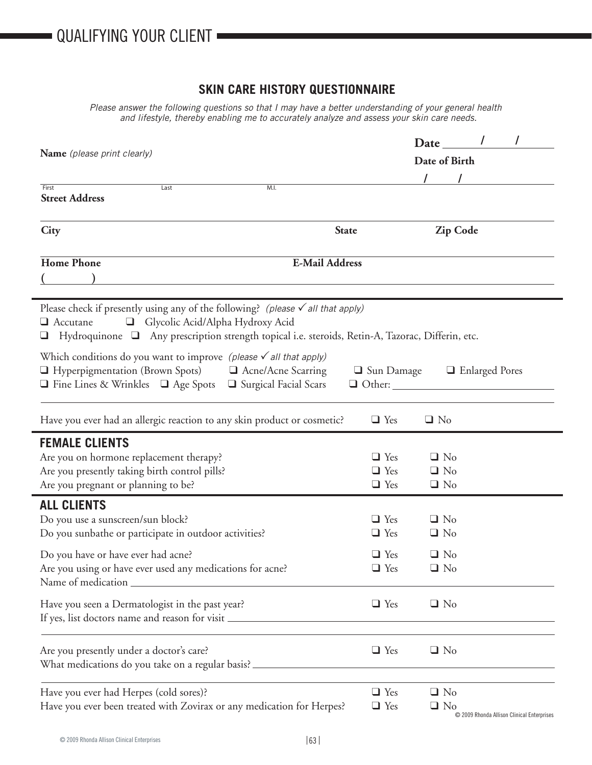ī

## **SKIN CARE HISTORY QUESTIONNAIRE**

*Please answer the following questions so that I may have a better understanding of your general health and lifestyle, thereby enabling me to accurately analyze and assess your skin care needs.*

| Name (please print clearly)                                                                                                                                                                                                                       | Date<br>Date of Birth                                                                            |
|---------------------------------------------------------------------------------------------------------------------------------------------------------------------------------------------------------------------------------------------------|--------------------------------------------------------------------------------------------------|
| First<br>Last<br>M.I.<br><b>Street Address</b>                                                                                                                                                                                                    |                                                                                                  |
| City                                                                                                                                                                                                                                              | <b>State</b><br><b>Zip Code</b>                                                                  |
| <b>Home Phone</b><br><b>E-Mail Address</b>                                                                                                                                                                                                        |                                                                                                  |
| Please check if presently using any of the following? (please $\checkmark$ all that apply)<br>Accutane and Glycolic Acid/Alpha Hydroxy Acid<br>□ Hydroquinone □ Any prescription strength topical i.e. steroids, Retin-A, Tazorac, Differin, etc. |                                                                                                  |
| Which conditions do you want to improve (please $\checkmark$ all that apply)<br>$\Box$ Hyperpigmentation (Brown Spots) $\Box$ Acne/Acne Scarring<br>$\Box$ Fine Lines & Wrinkles $\Box$ Age Spots $\Box$ Surgical Facial Scars                    | □ Sun Damage □ Enlarged Pores                                                                    |
| Have you ever had an allergic reaction to any skin product or cosmetic?                                                                                                                                                                           | $\Box$ Yes<br>$\Box$ No                                                                          |
| <b>FEMALE CLIENTS</b><br>Are you on hormone replacement therapy?<br>Are you presently taking birth control pills?<br>Are you pregnant or planning to be?                                                                                          | $\Box$ Yes<br>$\Box$ No<br>$\Box$ Yes<br>$\Box$ No<br>$\Box$ Yes<br>$\Box$ No                    |
| <b>ALL CLIENTS</b><br>Do you use a sunscreen/sun block?<br>Do you sunbathe or participate in outdoor activities?<br>Do you have or have ever had acne?                                                                                            | $\Box$ Yes<br>$\Box$ No<br>$\Box$ Yes<br>$\Box$ No<br>$\Box$ Yes<br>$\Box$ No                    |
| Are you using or have ever used any medications for acne?<br>Name of medication<br>Have you seen a Dermatologist in the past year?<br>If yes, list doctors name and reason for visit                                                              | $\hfill \square$ No<br>$\Box$ Yes<br>$\Box$ Yes<br>$\Box$ No                                     |
| Are you presently under a doctor's care?<br>What medications do you take on a regular basis? ________                                                                                                                                             | $\Box$ Yes<br>$\Box$ No                                                                          |
| Have you ever had Herpes (cold sores)?<br>Have you ever been treated with Zovirax or any medication for Herpes?                                                                                                                                   | $\Box$ Yes<br>$\Box$ No<br>$\Box$ Yes<br>$\Box$ No<br>© 2009 Rhonda Allison Clinical Enterprises |